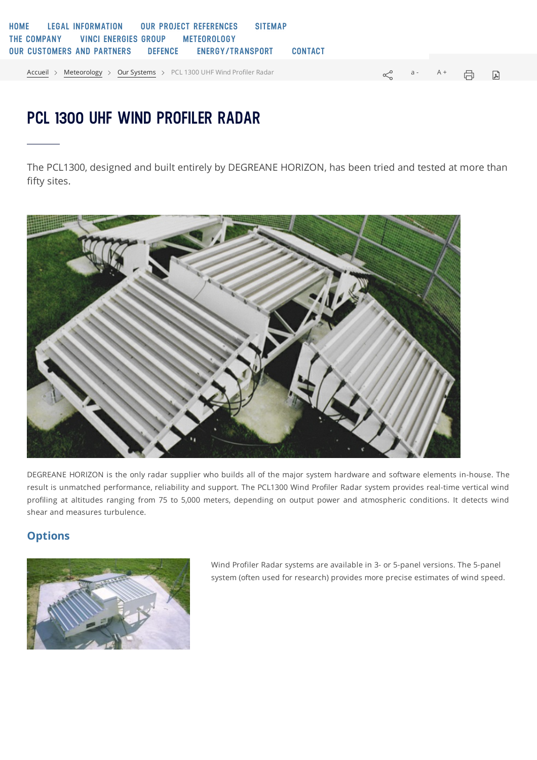## **PCL 1300 UHF WIND PROFILER RADAR**

The PCL1300, designed and built entirely by DEGREANE HORIZON, has been tried and tested at more than fifty sites.



DEGREANE HORIZON is the only radar supplier who builds all of the major system hardware and software elements in-house. The result is unmatched performance, reliability and support. The PCL1300 Wind Profiler Radar system provides real-time vertical wind profiling at altitudes ranging from 75 to 5,000 meters, depending on output power and atmospheric conditions. It detects wind shear and measures turbulence.

## **Options**



Wind Profiler Radar systems are available in 3- or 5-panel versions. The 5-panel system (often used for research) provides more precise estimates of wind speed.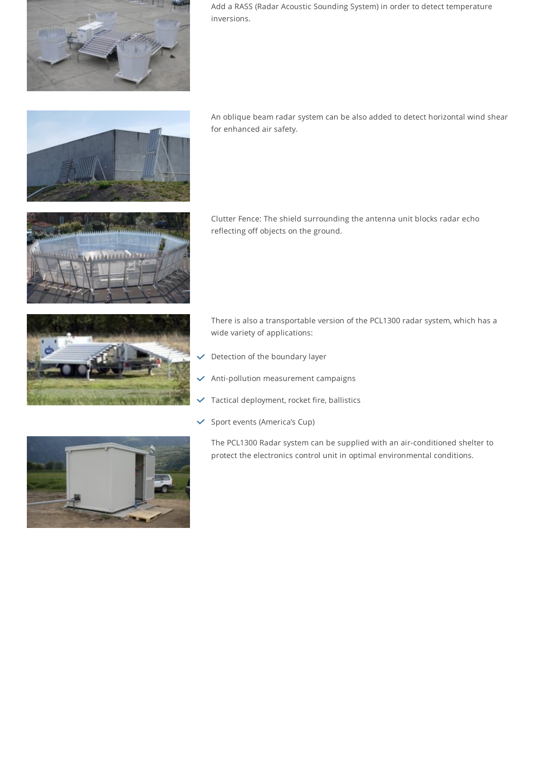

Add a RASS (Radar Acoustic Sounding System) in order to detect temperature inversions.



An oblique beam radar system can be also added to detect horizontal wind shear for enhanced air safety.



Clutter Fence: The shield surrounding the antenna unit blocks radar echo reflecting off objects on the ground.



There is also a transportable version of the PCL1300 radar system, which has a wide variety of applications:

- Detection of the boundary layer
- Anti-pollution measurement campaigns
- Tactical deployment, rocket fire, ballistics
- $\checkmark$  Sport events (America's Cup)

The PCL1300 Radar system can be supplied with an air-conditioned shelter to protect the electronics control unit in optimal environmental conditions.